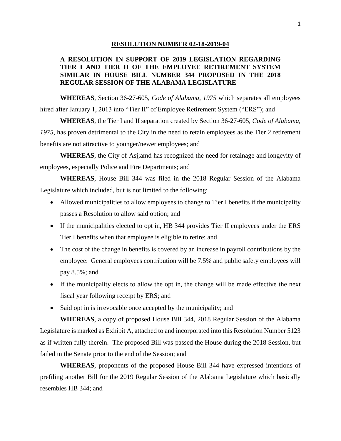## **RESOLUTION NUMBER 02-18-2019-04**

## **A RESOLUTION IN SUPPORT OF 2019 LEGISLATION REGARDING TIER I AND TIER II OF THE EMPLOYEE RETIREMENT SYSTEM SIMILAR IN HOUSE BILL NUMBER 344 PROPOSED IN THE 2018 REGULAR SESSION OF THE ALABAMA LEGISLATURE**

**WHEREAS**, Section 36-27-605, *Code of Alabama, 1975* which separates all employees hired after January 1, 2013 into "Tier II" of Employee Retirement System ("ERS"); and

**WHEREAS**, the Tier I and II separation created by Section 36-27-605, *Code of Alabama, 1975*, has proven detrimental to the City in the need to retain employees as the Tier 2 retirement benefits are not attractive to younger/newer employees; and

**WHEREAS**, the City of Asj;amd has recognized the need for retainage and longevity of employees, especially Police and Fire Departments; and

**WHEREAS**, House Bill 344 was filed in the 2018 Regular Session of the Alabama Legislature which included, but is not limited to the following:

- Allowed municipalities to allow employees to change to Tier I benefits if the municipality passes a Resolution to allow said option; and
- If the municipalities elected to opt in, HB 344 provides Tier II employees under the ERS Tier I benefits when that employee is eligible to retire; and
- The cost of the change in benefits is covered by an increase in payroll contributions by the employee: General employees contribution will be 7.5% and public safety employees will pay 8.5%; and
- If the municipality elects to allow the opt in, the change will be made effective the next fiscal year following receipt by ERS; and
- Said opt in is irrevocable once accepted by the municipality; and

**WHEREAS**, a copy of proposed House Bill 344, 2018 Regular Session of the Alabama Legislature is marked as Exhibit A, attached to and incorporated into this Resolution Number 5123 as if written fully therein. The proposed Bill was passed the House during the 2018 Session, but failed in the Senate prior to the end of the Session; and

**WHEREAS**, proponents of the proposed House Bill 344 have expressed intentions of prefiling another Bill for the 2019 Regular Session of the Alabama Legislature which basically resembles HB 344; and